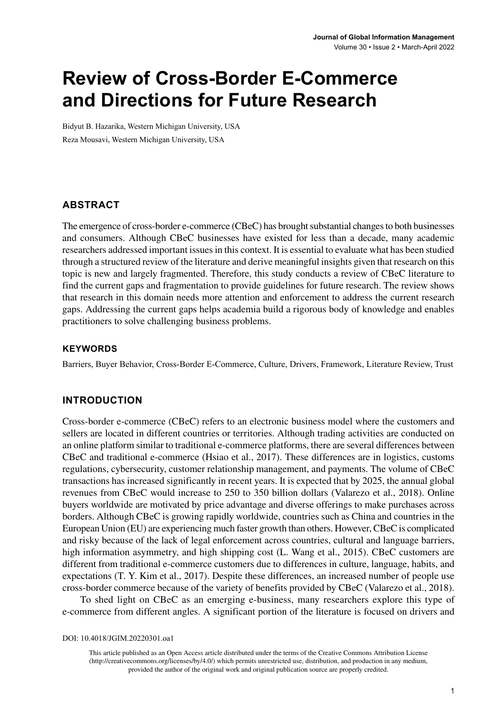# **Review of Cross-Border E-Commerce and Directions for Future Research**

Bidyut B. Hazarika, Western Michigan University, USA Reza Mousavi, Western Michigan University, USA

### **ABSTRACT**

The emergence of cross-border e-commerce (CBeC) has brought substantial changes to both businesses and consumers. Although CBeC businesses have existed for less than a decade, many academic researchers addressed important issues in this context. It is essential to evaluate what has been studied through a structured review of the literature and derive meaningful insights given that research on this topic is new and largely fragmented. Therefore, this study conducts a review of CBeC literature to find the current gaps and fragmentation to provide guidelines for future research. The review shows that research in this domain needs more attention and enforcement to address the current research gaps. Addressing the current gaps helps academia build a rigorous body of knowledge and enables practitioners to solve challenging business problems.

#### **Keywords**

Barriers, Buyer Behavior, Cross-Border E-Commerce, Culture, Drivers, Framework, Literature Review, Trust

#### **INTRODUCTION**

Cross-border e-commerce (CBeC) refers to an electronic business model where the customers and sellers are located in different countries or territories. Although trading activities are conducted on an online platform similar to traditional e-commerce platforms, there are several differences between CBeC and traditional e-commerce (Hsiao et al., 2017). These differences are in logistics, customs regulations, cybersecurity, customer relationship management, and payments. The volume of CBeC transactions has increased significantly in recent years. It is expected that by 2025, the annual global revenues from CBeC would increase to 250 to 350 billion dollars (Valarezo et al., 2018). Online buyers worldwide are motivated by price advantage and diverse offerings to make purchases across borders. Although CBeC is growing rapidly worldwide, countries such as China and countries in the European Union (EU) are experiencing much faster growth than others. However, CBeC is complicated and risky because of the lack of legal enforcement across countries, cultural and language barriers, high information asymmetry, and high shipping cost (L. Wang et al., 2015). CBeC customers are different from traditional e-commerce customers due to differences in culture, language, habits, and expectations (T. Y. Kim et al., 2017). Despite these differences, an increased number of people use cross-border commerce because of the variety of benefits provided by CBeC (Valarezo et al., 2018).

To shed light on CBeC as an emerging e-business, many researchers explore this type of e-commerce from different angles. A significant portion of the literature is focused on drivers and

DOI: 10.4018/JGIM.20220301.oa1

This article published as an Open Access article distributed under the terms of the Creative Commons Attribution License (http://creativecommons.org/licenses/by/4.0/) which permits unrestricted use, distribution, and production in any medium, provided the author of the original work and original publication source are properly credited.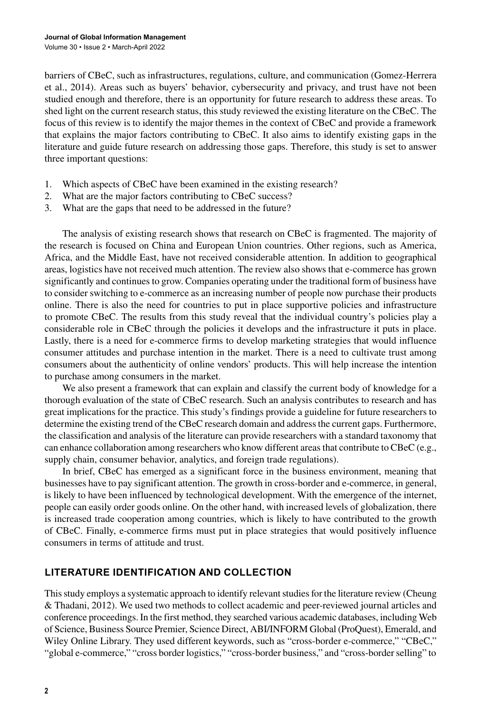barriers of CBeC, such as infrastructures, regulations, culture, and communication (Gomez-Herrera et al., 2014). Areas such as buyers' behavior, cybersecurity and privacy, and trust have not been studied enough and therefore, there is an opportunity for future research to address these areas. To shed light on the current research status, this study reviewed the existing literature on the CBeC. The focus of this review is to identify the major themes in the context of CBeC and provide a framework that explains the major factors contributing to CBeC. It also aims to identify existing gaps in the literature and guide future research on addressing those gaps. Therefore, this study is set to answer three important questions:

- 1. Which aspects of CBeC have been examined in the existing research?
- 2. What are the major factors contributing to CBeC success?
- 3. What are the gaps that need to be addressed in the future?

The analysis of existing research shows that research on CBeC is fragmented. The majority of the research is focused on China and European Union countries. Other regions, such as America, Africa, and the Middle East, have not received considerable attention. In addition to geographical areas, logistics have not received much attention. The review also shows that e-commerce has grown significantly and continues to grow. Companies operating under the traditional form of business have to consider switching to e-commerce as an increasing number of people now purchase their products online. There is also the need for countries to put in place supportive policies and infrastructure to promote CBeC. The results from this study reveal that the individual country's policies play a considerable role in CBeC through the policies it develops and the infrastructure it puts in place. Lastly, there is a need for e-commerce firms to develop marketing strategies that would influence consumer attitudes and purchase intention in the market. There is a need to cultivate trust among consumers about the authenticity of online vendors' products. This will help increase the intention to purchase among consumers in the market.

We also present a framework that can explain and classify the current body of knowledge for a thorough evaluation of the state of CBeC research. Such an analysis contributes to research and has great implications for the practice. This study's findings provide a guideline for future researchers to determine the existing trend of the CBeC research domain and address the current gaps. Furthermore, the classification and analysis of the literature can provide researchers with a standard taxonomy that can enhance collaboration among researchers who know different areas that contribute to CBeC (e.g., supply chain, consumer behavior, analytics, and foreign trade regulations).

In brief, CBeC has emerged as a significant force in the business environment, meaning that businesses have to pay significant attention. The growth in cross-border and e-commerce, in general, is likely to have been influenced by technological development. With the emergence of the internet, people can easily order goods online. On the other hand, with increased levels of globalization, there is increased trade cooperation among countries, which is likely to have contributed to the growth of CBeC. Finally, e-commerce firms must put in place strategies that would positively influence consumers in terms of attitude and trust.

#### **LITERATURE IDENTIFICATION AND COLLECTION**

This study employs a systematic approach to identify relevant studies for the literature review (Cheung & Thadani, 2012). We used two methods to collect academic and peer-reviewed journal articles and conference proceedings. In the first method, they searched various academic databases, including Web of Science, Business Source Premier, Science Direct, ABI/INFORM Global (ProQuest), Emerald, and Wiley Online Library. They used different keywords, such as "cross-border e-commerce," "CBeC," "global e-commerce," "cross border logistics," "cross-border business," and "cross-border selling" to